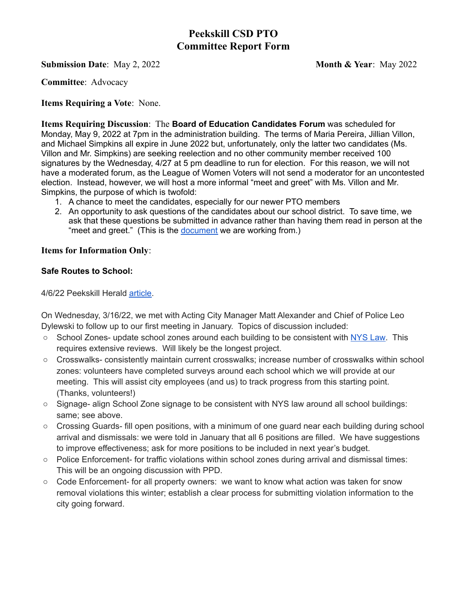# **Peekskill CSD PTO Committee Report Form**

## **Submission Date**: May 2, 2022 **Month & Year**: May 2022

**Committee**: Advocacy

### **Items Requiring a Vote**: None.

**Items Requiring Discussion**: The **Board of Education Candidates Forum** was scheduled for Monday, May 9, 2022 at 7pm in the administration building. The terms of Maria Pereira, Jillian Villon, and Michael Simpkins all expire in June 2022 but, unfortunately, only the latter two candidates (Ms. Villon and Mr. Simpkins) are seeking reelection and no other community member received 100 signatures by the Wednesday, 4/27 at 5 pm deadline to run for election. For this reason, we will not have a moderated forum, as the League of Women Voters will not send a moderator for an uncontested election. Instead, however, we will host a more informal "meet and greet" with Ms. Villon and Mr. Simpkins, the purpose of which is twofold:

- 1. A chance to meet the candidates, especially for our newer PTO members
- 2. An opportunity to ask questions of the candidates about our school district. To save time, we ask that these questions be submitted in advance rather than having them read in person at the "meet and greet." (This is the [document](https://docs.google.com/document/d/1LZsOpGfgJQ69O7HUgj6RJcO2YkNk4d3tKknRXgzETRA/edit) we are working from.)

#### **Items for Information Only**:

## **Safe Routes to School:**

4/6/22 Peekskill Herald [article.](https://peekskillherald.com/4766/news/peekskill-coalition-aims-for-safer-walks-to-school/)

On Wednesday, 3/16/22, we met with Acting City Manager Matt Alexander and Chief of Police Leo Dylewski to follow up to our first meeting in January. Topics of discussion included:

- School Zones- update school zones around each building to be consistent with [NYS](https://www.dot.ny.gov/about-nysdot/faq/posing-speed-limit-within-a-school-zone) Law. This requires extensive reviews. Will likely be the longest project.
- Crosswalks- consistently maintain current crosswalks; increase number of crosswalks within school zones: volunteers have completed surveys around each school which we will provide at our meeting. This will assist city employees (and us) to track progress from this starting point. (Thanks, volunteers!)
- Signage- align School Zone signage to be consistent with NYS law around all school buildings: same; see above.
- Crossing Guards- fill open positions, with a minimum of one quard near each building during school arrival and dismissals: we were told in January that all 6 positions are filled. We have suggestions to improve effectiveness; ask for more positions to be included in next year's budget.
- Police Enforcement- for traffic violations within school zones during arrival and dismissal times: This will be an ongoing discussion with PPD.
- Code Enforcement- for all property owners: we want to know what action was taken for snow removal violations this winter; establish a clear process for submitting violation information to the city going forward.